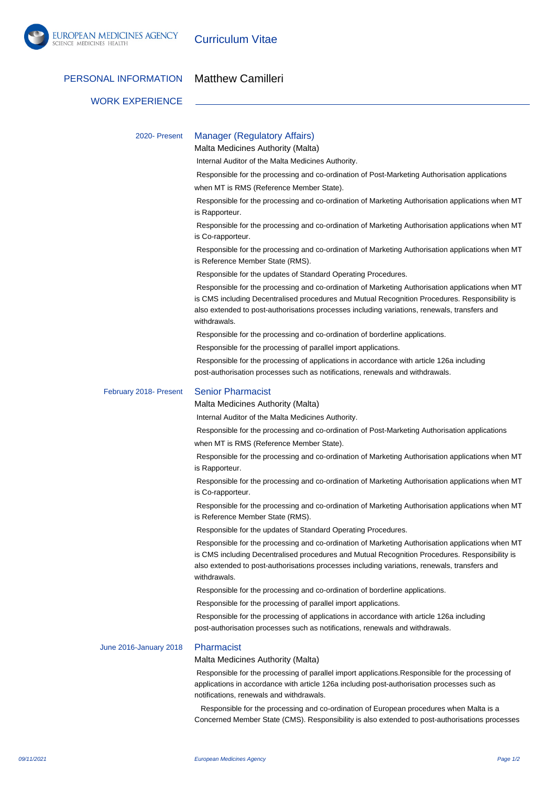

Curriculum Vitae

## PERSONAL INFORMATION Matthew Camilleri

## WORK EXPERIENCE

| 2020- Present          | <b>Manager (Regulatory Affairs)</b><br>Malta Medicines Authority (Malta)                                                                                                                                                                                                                                           |
|------------------------|--------------------------------------------------------------------------------------------------------------------------------------------------------------------------------------------------------------------------------------------------------------------------------------------------------------------|
|                        | Internal Auditor of the Malta Medicines Authority.                                                                                                                                                                                                                                                                 |
|                        | Responsible for the processing and co-ordination of Post-Marketing Authorisation applications                                                                                                                                                                                                                      |
|                        | when MT is RMS (Reference Member State).                                                                                                                                                                                                                                                                           |
|                        | Responsible for the processing and co-ordination of Marketing Authorisation applications when MT<br>is Rapporteur.                                                                                                                                                                                                 |
|                        | Responsible for the processing and co-ordination of Marketing Authorisation applications when MT<br>is Co-rapporteur.                                                                                                                                                                                              |
|                        | Responsible for the processing and co-ordination of Marketing Authorisation applications when MT<br>is Reference Member State (RMS).                                                                                                                                                                               |
|                        | Responsible for the updates of Standard Operating Procedures.                                                                                                                                                                                                                                                      |
|                        | Responsible for the processing and co-ordination of Marketing Authorisation applications when MT<br>is CMS including Decentralised procedures and Mutual Recognition Procedures. Responsibility is<br>also extended to post-authorisations processes including variations, renewals, transfers and<br>withdrawals. |
|                        | Responsible for the processing and co-ordination of borderline applications.                                                                                                                                                                                                                                       |
|                        | Responsible for the processing of parallel import applications.                                                                                                                                                                                                                                                    |
|                        | Responsible for the processing of applications in accordance with article 126a including<br>post-authorisation processes such as notifications, renewals and withdrawals.                                                                                                                                          |
| February 2018- Present | <b>Senior Pharmacist</b>                                                                                                                                                                                                                                                                                           |
|                        | Malta Medicines Authority (Malta)                                                                                                                                                                                                                                                                                  |
|                        | Internal Auditor of the Malta Medicines Authority.                                                                                                                                                                                                                                                                 |
|                        | Responsible for the processing and co-ordination of Post-Marketing Authorisation applications                                                                                                                                                                                                                      |
|                        | when MT is RMS (Reference Member State).                                                                                                                                                                                                                                                                           |
|                        | Responsible for the processing and co-ordination of Marketing Authorisation applications when MT<br>is Rapporteur.                                                                                                                                                                                                 |
|                        | Responsible for the processing and co-ordination of Marketing Authorisation applications when MT<br>is Co-rapporteur.                                                                                                                                                                                              |
|                        | Responsible for the processing and co-ordination of Marketing Authorisation applications when MT<br>is Reference Member State (RMS).                                                                                                                                                                               |
|                        | Responsible for the updates of Standard Operating Procedures.                                                                                                                                                                                                                                                      |
|                        | Responsible for the processing and co-ordination of Marketing Authorisation applications when MT<br>is CMS including Decentralised procedures and Mutual Recognition Procedures. Responsibility is<br>also extended to post-authorisations processes including variations, renewals, transfers and<br>withdrawals. |
|                        | Responsible for the processing and co-ordination of borderline applications.                                                                                                                                                                                                                                       |
|                        | Responsible for the processing of parallel import applications.                                                                                                                                                                                                                                                    |
|                        | Responsible for the processing of applications in accordance with article 126a including<br>post-authorisation processes such as notifications, renewals and withdrawals.                                                                                                                                          |
| June 2016-January 2018 | Pharmacist                                                                                                                                                                                                                                                                                                         |
|                        | Malta Medicines Authority (Malta)                                                                                                                                                                                                                                                                                  |
|                        | Responsible for the processing of parallel import applications. Responsible for the processing of<br>applications in accordance with article 126a including post-authorisation processes such as<br>notifications, renewals and withdrawals.                                                                       |

 Responsible for the processing and co-ordination of European procedures when Malta is a Concerned Member State (CMS). Responsibility is also extended to post-authorisations processes